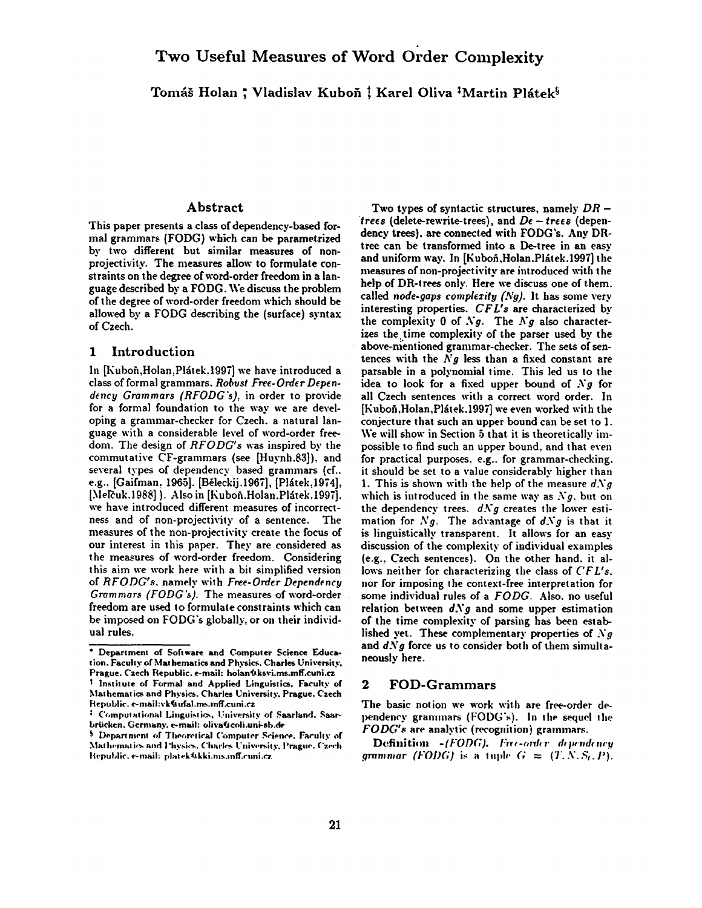Tomáš Holan; Vladislav Kuboň! Karel Oliva <sup>†</sup>Martin Plátek<sup>§</sup>

# Abstract

This paper presents a class of dependency-based formal grammars (FODG) which can be parametrized by two different but similar measures of nonprojectivity. The measures allow to formulate constraints on the degree of word-order freedom in a language described by a FODG. We discuss the problem of the degree of word-order freedom which should be allowed by a FODG describing the (surface) syntax of Czech.

### 1 Introduction

In [Kuboň, Holan, Plátek. 1997] we have introduced a class of formal grammars. *Robust Free.Order Dependency Grammars (RFODG's),* in order to provide for a formal foundation to the way we are developing a grammar-checker for Czech. a natural language with a considerable level of word-order freedom. The design of *RFODG's* was inspired by the commutative CF-grammars (see [Huynh.83]), and several types of dependency based grammars (cf.. e.g., [Gaifman, 1965]. [Běleckij.1967], [Plátek,1974], [Melčuk.1988] ). Also in [Kuboň.Holan.Plátek.1997]. we have introduced different measures of incorrectness and of non-projectivity of a sentence. The measures of the non-projectivity create the focus of our interest in this paper. They are considered as the measures of word-order freedom. Considering this aim we work here with a bit simplified version of *RFODG's.* namely with *Fre~-Order Dependency Grammars (FODG's).* The measures of word-order freedom are used to formulate constraints which can be imposed on FODG's globally, or on their individual rules.

Two types of syntactic structures, namely *DR*   $t$ rees (delete-rewrite-trees), and  $De - t$ rees (dependency trees), are connected with FODG's. Any DRtree can be transformed into a De-tree in an easy and uniform way. In [Kuboň,Holan.Plátek.1997] the measures of non-projectivity are introduced with the help of DR-trees only. Here we discuss one of them, called *node-gaps complexity (Ng).* It has some very interesting properties. *CFI.'s* are characterized by the complexity 0 of  $Ng$ . The  $Ng$  also characterizes the time complexity of the parser used by the above-mentioned grammar-checker. The sets of sentences with the *Ny* less than a fixed constant are parsable in a polynomial time. This led us to the idea to look for a fixed upper bound of  $Ng$  for all Czech sentences with a correct word order. In [Kuboň, Holan, Plátek.1997] we even worked with the conjecture that such an upper bound can be set to 1. We will show in Section 5 that it is theoretically impossible to find such an upper bound, and that even for practical purposes, e.g.. for grammar-checking. it should be set to a value considerably higher than 1. This is shown with the help of the measure  $dNg$ which is introduced in the same way as  $Ng$ , but on the dependency trees.  $dNg$  creates the lower estimation for *Ng.* The advantage of *d.Vg* is that it is linguistically transparent. It allows for an easy discussion of the complexity of individual examples (e.g., Czech sentences). On the other hand. it allows neither for characterizing the class of *CFL's,*  nor for imposing the context-free interpretation for some individual rules of a *FODG.* Also. no useful relation between  $dNg$  and some upper estimation of the time complexity of parsing has been established yet. These complementary properties of  $Ng$ and  $dNg$  force us to consider both of them simultaneously here.

### **2** FOD-Grammars

The basic notion we work with are free-order dependency grammars (FODG's). In the sequel the *FODG's* are analytic (recognition) grammars.

Definition *-(FODG). Free-order dependency grammar (FODG)* is a tuple  $G = (T, N, S_t, P)$ .

**<sup>•</sup> Department of** Software and Computer Science Education. Faculty of Mathematics and Physics. Charles University, Prague. Czech Republic. e-mail: holan&ksvi.ms.mff.cuni.cz Institute of Formal and Applied Linguistics, Faculty of Mathematics and Physics. Charles University. Prague, Czech Republic. e-mail:vk@ufal.ms.mff.cuni.cz

<sup>&</sup>lt;sup>2</sup> Computational Linguistics, University of Saarland. Saarbriicken. Germany. e-mail: oliva(Icoli.uni-sb.de

<sup>&</sup>lt;sup>§</sup> Department of Theoretical Computer Science. Faculty of Mathematics and Physics. Charles University. Prague. Czech lepublic, e-mail: platek@kki.ms.mff.cuni.cz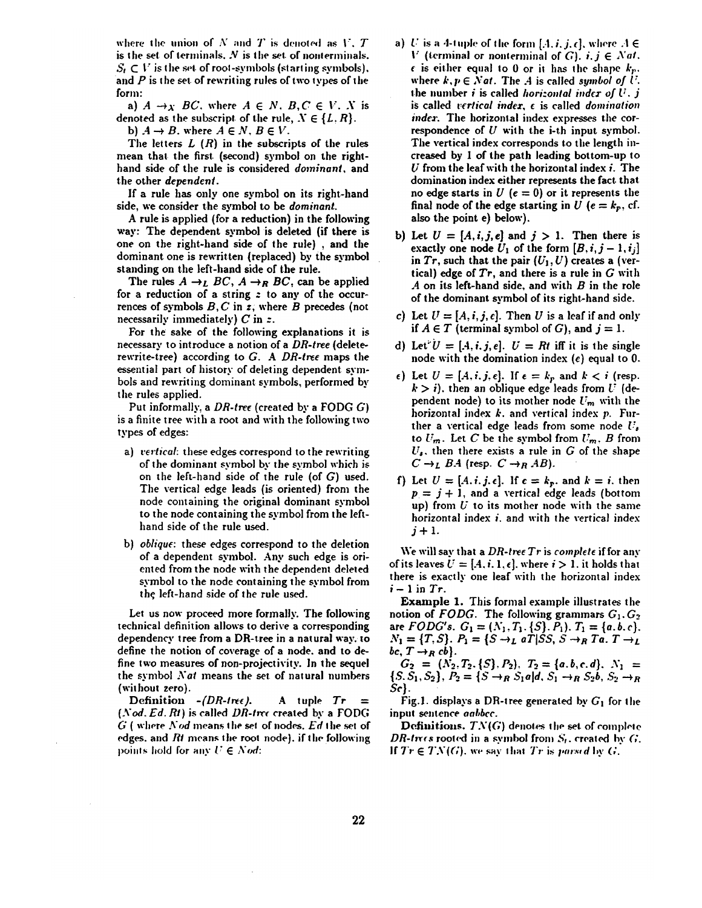where the union of  $N$  and  $T$  is denoted as  $V$ .  $T$ is the set of terminals.  $N$  is the set of nonterminals.  $S_t \subset V$  is the set of root-symbols (starting symbols), and  $P$  is the set of rewriting rules of two types of the form:

a)  $A \rightarrow_X BC$ , where  $A \in N$ ,  $B, C \in V$ . X is denoted as the subscript of the rule,  $X \in \{L, R\}$ .

b)  $A \rightarrow B$ , where  $A \in N$ ,  $B \in V$ .

The letters  $L(R)$  in the subscripts of the rules mean that the first. (second) symbol on the righthand side of the rule is considered *dominant,* and the other *dependent.* 

If a rule has only one symbol on its right-hand side, we consider the symbol to be *dominant.* 

A rule is applied (for a reduction) in the following way: The dependent symbol is deleted (if there is one on the right-hand side of the rule) , and the dominant one is rewritten (replaced) by the symbol standing on the left-hand side of the rule.

The rules  $A \rightarrow_L BC$ ,  $A \rightarrow_R BC$ , can be applied for a reduction of a string z to any of the occurrences of symbols  $B, C$  in  $\overline{z}$ , where  $B$  precedes (not necessarily immediately)  $C$  in z.

For the sake of the following explanations it is necessary to introduce a notion of a *DR-tree* (deleterewrite-tree) according to *G. A DR-tree* maps the essential part of history of deleting dependent symbols and rewriting dominant symbols, performed by the rules applied.

Put informally, a *DR-tree* (created by a FODG G) is a finite tree with a root and with the following two types of edges:

- a) *vertical:* these edges correspond to the rewriting of the dominant symbol by" the symbol which is on the left-hand side of the rule (of  $G$ ) used. The vertical edge leads {is oriented) from the node containing the original dominant symbol to the node containing the symbol from the lefthand side of the rule used.
- b) *oblique:* these edges correspond to the deletion of a dependent symbol. Any, such edge is oriented from the node with the dependent deleted symbol to the node containing the symbol from the left-hand side of the rule used.

Let us now proceed more formally. The following technical definition allows to derive a corresponding dependency tree from a DR-tree in a natural way, to define the notion of coverage of a node. and to define two measures of non-projectivity. In the sequel the symbol *Nat* means the set of natural numbers (without zero).

Definition  $-(DR-1\pi\epsilon)$ . A tuple  $Tr =$ *(Nod. Ed. Rt)* is called *DR-tree* created by a FODG G ( where *Nod* means the set of nodes. *Ed* the set of edges, and *Rt* means the root node), if the following points hold for any  $U \in N$ *od*:

- a) U is a 4-tuple of the form  $[A, i, j, \epsilon]$ , where  $A \in$  $V$  (terminal or nonterminal of  $G$ ).  $i, j \in Nat$ .  $\epsilon$  is either equal to 0 or it has the shape  $k_p$ . where  $k, p \in Nat$ . The A is called *symbol of U*. the number i is called *horizontal index of U. j* is called *vertical index, c* is called *domination index.* The horizontal index expresses the correspondence of U with the i-th input symbol. The vertical index corresponds to the length increased **by I** of the path leading bottom-up **to**   $U$  from the leaf with the horizontal index  $i$ . The domination index either represents the fact that no edge starts in  $U$  ( $e = 0$ ) or it represents the final node of the edge starting in *U* ( $e = k_p$ , cf. also the point e) below).
- b) Let  $U = [A, i, j, e]$  and  $j > 1$ . Then there is exactly one node  $U_1$  of the form  $[B, i, j-1, i_j]$ in  $Tr$ , such that the pair  $(U_1, U)$  creates a (vertical) edge of *Tr,* and there is a rule in G with  $A$  on its left-hand side, and with  $B$  in the role of the dominant symbol of its right-hand side.
- c) Let  $U = [A, i, j, \epsilon]$ . Then U is a leaf if and only if  $A \in T$  (terminal symbol of G), and  $j = 1$ .
- d) Let  $U = [A, i, j, e]$ .  $U = Rt$  iff it is the single node with the domination index  $(e)$  equal to 0.
- $\epsilon$ ) Let  $U = [A, i, j, \epsilon]$ . If  $\epsilon = k_p$  and  $k < i$  (resp.  $k > i$ ), then an oblique edge leads from U (dependent node) to its mother node  $U_m$  with the horizontal index  $k$ , and vertical index  $p$ . Further a vertical edge leads from some node  $U_s$ to  $U_m$ . Let C be the symbol from  $U_m$ , B from  $U_s$ , then there exists a rule in G of the shape  $C \rightarrow_L B A$  (resp.  $C \rightarrow_R AB$ ).
- **f**) Let  $U = [A, i, j, \epsilon]$ . If  $\epsilon = k_p$ , and  $k = i$ , then  $p = j + 1$ , and a vertical edge leads (bottom up) from  $U$  to its mother node with the same horizontal index  $i$ , and with the vertical index  $j+1$ .

We will say that a *DR-tree Tr* is *complete* if for any of its leaves  $U = [A, i, 1, \epsilon]$ , where  $i > 1$ , it holds that there is exactly one leaf with the horizontal index  $i-1$  in  $Tr$ .

Example 1. This formal example illustrates the notion of *FODG*. The following grammars  $G_1, G_2$ are *FODG's.*  $G_1 = (N_1, T_1, \{S\}, P_1)$ .  $T_1 = \{a, b, c\}$ ,  $N_1 = \{T, S\}$ .  $P_1 = \{S \rightarrow_L aT | SS, S \rightarrow_R Ta, T \rightarrow_L \}$  $bc, T \rightarrow_R cb$ .

 $G_2 = (N_2,T_2,\{S\},P_2), T_2 = \{a,b,c,d\}, N_1 =$  $\{S, S_1, S_2\}, P_2 = \{S \rightarrow_R S_1a | d, S_1 \rightarrow_R S_2b, S_2 \rightarrow_R$ *Se}.* 

Fig.1. displays a DR-tree generated by  $G_1$  for the input sentence *aabbcc.* 

**Definitions.**  $TN(G)$  denotes the set of complete *DR-trees* rooted in a symbol from  $S_t$ , created by  $G_t$ . If  $Tr \in TX(G)$ , we say that  $Tr$  is *parsed* by  $G$ .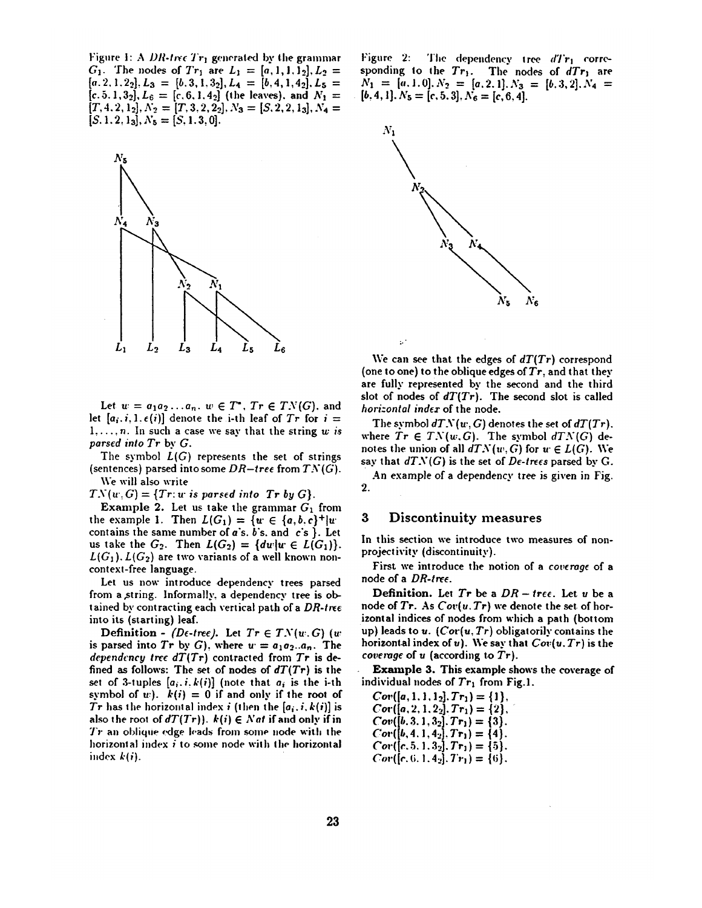Figure 1: A *DR-tree Tr<sub>1</sub>* generated by the grammar GI. The nodes ofT'r1 are L~ = [a, l, l, l.~], L.~ =  $[a.2, 1.2_2], L_3 = [b.3, 1.3_2], L_4 = [b.4, 1.4_2], L_5 =$  $[c. 5.1,3.2], L_6 = [c. 6.1, 4.2]$  (the leaves), and  $N_1 =$  $[T,4,2,1_2],N_2=[T,3,2,2_2],N_3=[S,2,2,1_3],N_4=$  $[S. 1.2, 1<sub>3</sub>], N<sub>5</sub> = [S, 1.3, 0].$ 



Let  $w = a_1 a_2 \ldots a_n$ ,  $w \in T^*$ ,  $Tr \in TN(G)$ , and let  $[a_i, i, 1, \epsilon(i)]$  denote the i-th leaf of  $Tr$  for  $i =$ 1,...,n. In such a case we say that the string *w is parsed into Tr by G.* 

The symbol  $L(G)$  represents the set of strings (sentences) parsed into some  $DR$ -tree from  $TN(G)$ . We will also write

 $TN(w, G) = \{Tr: w \text{ is parsed into } Tr \text{ by } G\}.$ 

Example 2. Let us take the grammar  $G_1$  from the example 1. Then  $L(G_1) = \{w \in \{a, b, c\}^+|w\}$ contains the same number of  $a$ 's.  $b$ 's. and  $c$ 's }. Let us take the  $G_2$ . Then  $L(G_2) = \{dw | w \in L(G_1)\}.$  $L(G_1)$ .  $L(G_2)$  are two variants of a well known noncontext-free language.

Let us now introduce dependency trees parsed from a,string. Informally, a dependency tree is obtained by contracting each vertical path of a *DR-tree*  into its (starting) leaf.

Definition - *(De-tree)*. Let  $Tr \in TN(w, G)$  (w is parsed into  $Tr ~by ~G$ , where  $u = a_1 a_2... a_n$ . The *dependency tree dT(Tr)* contracted from *Tr* is defined as follows: The set of nodes of *dT(Tr)* is the set of 3-tuples  $[a_i, i, k(i)]$  (note that  $a_i$  is the i-th symbol of  $w$ ).  $k(i) = 0$  if and only if the root of Tr has the horizontal index *i* (then the  $[a_i, i, k(i)]$  is also the root of  $dT(Tr)$ ),  $k(i) \in Nat$  if and only if in  $Tr$  an oblique edge leads from some node with the horizontal index  $i$  to some node with the horizontal index *k(i).* 

Figure 2: The dependency tree  $dTr_1$  corresponding to the Tr<sub>1</sub>. The nodes of *dTr*<sub>1</sub> are  $N_1 = [a, 1, 0], N_2 = [a, 2, 1], N_3 = [b, 3, 2], N_4 =$  $[b, 4, 1]$ .  $N_5 = [c, 5, 3]$ ,  $N_6 = [c, 6, 4]$ .



We can see that the edges of *dT(Tr)* correspond (one to one) to the oblique edges of  $Tr$ , and that they are fully represented by the second and the third slot of nodes of *dT(Tr).* The second slot is called *hori:ontal index* of the node.

The symbol  $dTN(w, G)$  denotes the set of  $dT(Tr)$ . where  $Tr \in TN(w,G)$ . The symbol  $dTN(G)$  denotes the union of all  $dTN(w, G)$  for  $w \in L(G)$ . We say that  $dTN(G)$  is the set of  $De$ -trees parsed by G.

An example of a dependency tree is given in Fig. 2.

### 3 Discontinuity measures

à.

In this section we introduce two measures of nonprojectivity (discontinuity).

First we introduce the notion of a *coverage* of a node of a *DR-tree.* 

**Definition.** Let  $Tr$  be a  $DR - tree$ . Let u be a node of  $Tr.$  As  $Cor(u, Tr)$  we denote the set of horizontal indices of nodes from which a path (bottom up) leads to u. (Cor(u, Tr) obligatorily contains the horizontal index of u). We say that *Cov(u. Tr)* is the *coverage* of u (according to *Tr).* 

Example 3. This example shows the coverage of individual nodes of  $Tr_1$  from Fig.1.

$$
Cov([a, 1, 1, 1_2], Tr_1) = \{1\},\nCov([a, 2, 1, 2_2], Tr_1) = \{2\},\nCov([b, 3, 1, 3_2], Tr_1) = \{3\}.
$$
\n
$$
Cor([b, 4, 1, 4_2], Tr_1) = \{4\}.
$$
\n
$$
Cor([c, 5, 1, 3_2], Tr_1) = \{5\}.
$$
\n
$$
Cor([c, 6, 1, 4_2], Tr_1) = \{6\}.
$$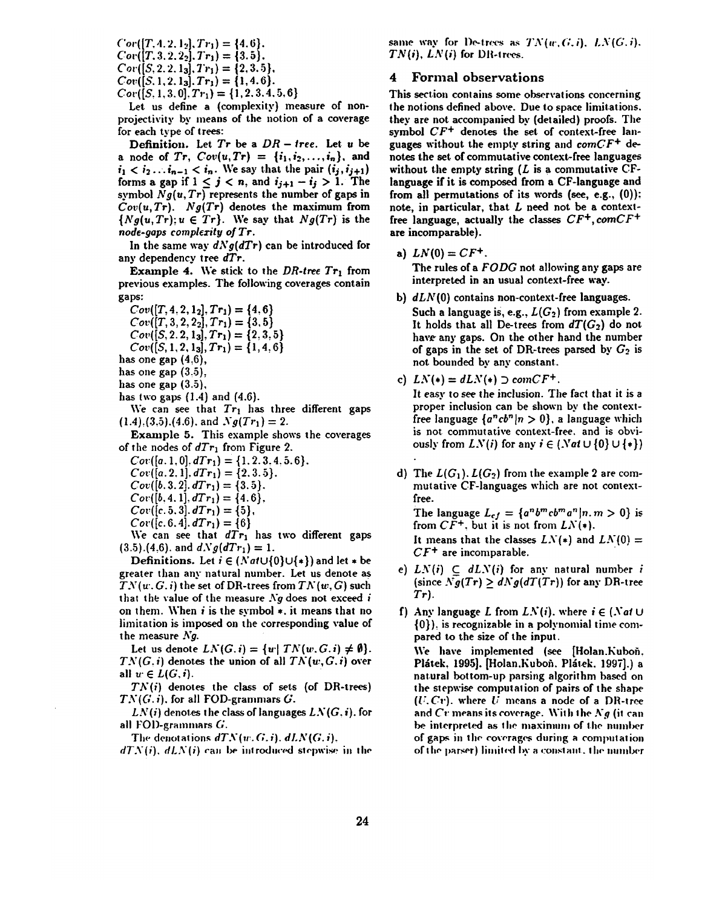$Cor([T, 4.2, 1<sub>2</sub>], Tr_1) = \{4.6\}.$  $Cor([T. 3. 2. 2<sub>2</sub>], Tr_1) = \{3.5\}.$  $Cor([S, 2, 2, 1<sub>3</sub>], Tr_1) = \{2, 3, 5\},\$  $Cov([S. 1, 2, 1<sub>3</sub>], Tr_1) = \{1, 4, 6\}.$  $Cov([S, 1, 3, 0], Tr_1) = \{1, 2, 3, 4, 5, 6\}$ 

Let us define a (complexity) measure of nonprojectivity by means of the notion of a coverage for each type of trees:

**Definition.** Let  $Tr$  be a  $DR - tree$ . Let  $u$  be **a** node of *Tr*,  $Cov(u, Tr) = \{i_1, i_2, ..., i_n\}$ , and  $i_1 < i_2 \ldots i_{n-1} < i_n$ . We say that the pair  $(i_j, i_{j+1})$ forms a gap if  $1 \leq j < n$ , and  $i_{j+1} - i_j > 1$ . The symbol  $Ng(u, Tr)$  represents the number of gaps in *Cov(u, Tr). Ng(Tr)* denotes the maximum from  $\{Ng(u, Tr); u \in Tr\}$ . We say that  $Ng(Tr)$  is the *node-gaps complexity of Tr.* 

In the same way  $dNg(dTr)$  can be introduced for any dependency tree *dTr.* 

Example 4. We stick to the *DR-tree*  $Tr_1$  from previous examples. The following coverages contain gaps:

 $Cov([T, 4, 2, 1<sub>2</sub>], Tr_1) = \{4, 6\}$  $Cov([T, 3, 2, 2_2], Tr_1) = \{3, 5\}$  $Cov([S, 2, 2, 1<sub>3</sub>], Tr_1) = \{2, 3, 5\}$ 

 $Cov([S, 1, 2, 1<sub>3</sub>], Tr_1) = \{1, 4, 6\}$ 

has one gap  $(4.6)$ ,

has one gap  $(3.5)$ ,

has one gap  $(3.5)$ ,

has two gaps  $(1.4)$  and  $(4.6)$ .

We can see that  $Tr_1$  has three different gaps  $(1.4),(3.5),(4.6)$ . and  $Ng(Tr_1)=2$ .

Example 5. This example shows the coverages of the nodes of  $dTr_1$  from Figure 2.

 $Cov([a, 1, 0], dTr_1) = \{1, 2, 3, 4, 5, 6\}.$ 

 $Cov([a. 2.1], dTr_1) = \{2, 3.5\}.$ 

 $Cov([b. 3.2], dTr_1) = \{3.5\}.$ 

 $Cov([b, 4.1], dTr_1) = \{4.6\},\$ 

 $Cov([c. 5.3], dTr_1) = \{5\},\$ 

 $Cov([c. 6.4]. dTr_1) = \{6\}$ 

We can see that  $dTr_1$  has two different gaps  $(3.5)$ .(4,6). and  $dNg(dTr_1) = 1$ .

Definitions. Let  $i \in (Nat \cup \{0\} \cup \{*\})$  and let  $*$  be greater than any natural number. Let us denote as  $TN(w, G, i)$  the set of DR-trees from  $TN(w, G)$  such that the value of the measure  $Ng$  does not exceed i on them. When  $i$  is the symbol  $\ast$ , it means that no limitation is imposed on the corresponding value of the measure **A'g.** 

Let us denote  $LN(G, i) = \{u \mid TN(w, G, i) \neq \emptyset\}.$  $TN(G,i)$  denotes the union of all  $TN(w,G,i)$  over all  $w \in L(G, i)$ .

 $TN(i)$  denotes the class of sets (of DR-trees) *TN(G. i).* for all FOD-grammars G.

 $LN(i)$  denotes the class of languages  $LN(G, i)$ . for all FOl)-grammars G.

The denotations  $dTN(w, G, i)$ ,  $dLN(G, i)$ ,

 $dTN(i)$ ,  $dLN(i)$  can be introduced stepwise in the

same way for De-trees as  $TN(w,G,i)$ ,  $LN(G,i)$ .  $TN(i)$ ,  $LN(i)$  for DR-trees.

### **4** Formal observations

This section contains some observations concerning the notions defined above. Due to space limitations. they are not accompanied by (detailed) proofs. The symbol  $CF^+$  denotes the set of context-free languages without the empty string and  $comCF^{+}$  denotes the set of commutative context-free languages without the empty string  $(L$  is a commutative CFlanguage if it is composed from a CF-language and from all permutations of its words (see, e.g., **C0)):**  note, in particular, that  $L$  need not be a contextfree language, actually the classes *CF+,comCF +*  are incomparable).

a)  $LN(0) = CF^{+}$ .

The rules of a *FODG* not allowing any gaps are interpreted in an usual context-free way.

b)  $dLN(0)$  contains non-context-free languages. Such a language is, e.g.,  $L(G_2)$  from example 2. It holds that all De-trees from  $dT(G_2)$  do not have any gaps. On the other hand the number of gaps in the set of DR-trees parsed by  $G_2$  is not bounded by any constant.

c) 
$$
LN(*) = dLN(*) \supset comCF^{+}
$$
.

It easy to see the inclusion. The fact that it is a proper inclusion can be shown by the contextfree language  $\{a^ncb^n|n>0\}$ , a language which is not commutative context-free, and is obviously from  $LN(i)$  for any  $i \in (Nat \cup \{0\} \cup \{*\})$ 

d) The  $L(G_1)$ .  $L(G_2)$  from the example 2 are commutative CF-languages which are not contextfree.

The language  $L_{cf} = \{a^n b^m c b^m a^n | n, m > 0\}$  is from  $C\widetilde{F}^+$ , but it is not from  $LN(*)$ . It means that the classes  $LN(*)$  and  $LN(0) =$ *CF +* are incomparable.

- e)  $LN(i) \subset dLN(i)$  for any natural number i (since  $Ng(Tr) \ge dNg(dT(Tr))$  for any DR-tree  $Tr$ ).
- f) Any language L from  $LN(i)$ , where  $i \in (Nat \cup$ {0}): is recognizable in a polynomial time compared to the size of the input.

We have implemented (see [Holan.Kuboh, Plátek, 1995]. [Holan.Kuboň. Plátek. 1997].) a natural bottom-up parsing algorithm based on the stepwise computation of pairs of the shape  $(U, Cr)$ . where  $U$  means a node of a DR-tree and Cr means its coverage. With the  $Ng$  (it can be. interpreted as the maximum of the number of gaps in the coverages during a computation of the parser) limited by a constant, the number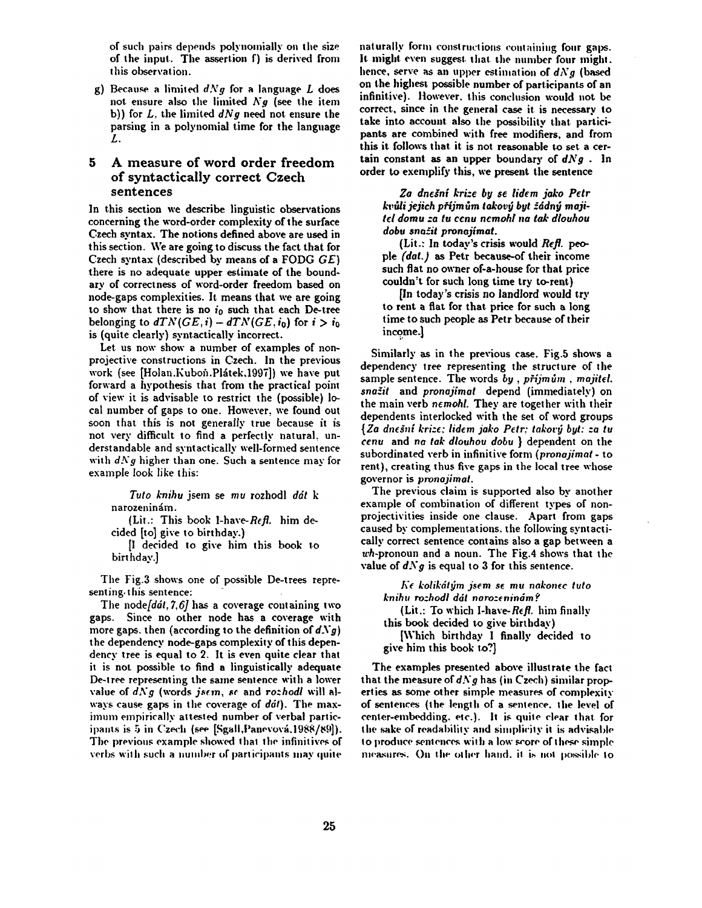of such pairs depends polynomially on the size of the input. The assertion f) is derived from this observation.

g) Because a limited  $dNg$  for a language  $L$  does not ensure also the limited *N9* (see the item b)) for L, the limited *dN9* need not ensure the parsing in a polynomial time for the language L.

# **5 A measure of word order freedom of syntactically correct Czech sentences**

**In this section we describe linguistic observations concerning the word-order complexity of the surface Czech syntax. The notions defined above are used in**  this section. We are going to discuss the fact that for Czech syntax (described by means of a FODG *GE)*  there is no adequate upper estimate of the boundary of correctness of word-order freedom based on node-gaps complexities. It means that we are going to show that there is no  $i_0$  such that each De-tree belonging to  $dTN(GE, i) - dTN(GE, i_0)$  for  $i > i_0$ is (quite clearly) syntactically incorrect.

Let us now show a number of examples of nonprojective constructions in Czech. In the previous work (see [Holan.Kuboň.Plátek,1997]) we have put forward a hypothesis that from the practical point of view it is advisable to restrict the (possible) local number of gaps to one. However, we found out soon that this is not generally true because it is not very difficult to find a perfectly natural, understandable and syntactically well-formed sentence with *dN9* higher than one. Such a sentence may for example look like this:

*Tuto knihu* jsem se *mu* rozhodl *ddt k*  narozeninám.

(Lit.: This book 1-have- $Refl$ , him decided [to] give to birthday.)

[I decided to give him this book to birt hday.]

The Fig.3 shows one of possible De-trees representing, this sentence:

The *node[ddt, 7,6]* has a coverage containing two gaps. Since no other node has a coverage with more gaps, then (according to the definition of  $dNg$ ) the dependency node-gaps complexity of this dependency tree is equal to 2. It is even quite clear that it is not possible to find a linguistically adequate De-t ree representing the same sentence with a lower value of  $dNg$  (words *jsem, se and rozhodl will al*ways cause gaps in the coverage of *ddl).* The maximum empirically attested number of verbal participants is 5 in Czech (see [Sgall, Panevová, 1988/89]). The previous example showed that the infinitives of verbs with such a number of participants may quite

naturally form constructions containing four gaps. It might even suggest that the number four might. hence, serve as an upper estimation of  $dNg$  (based on the highest possible number of participants of an infinitive). However, this conclusion would not be correct., since in the general case it. is necessary to take into account also the possibility that participants are combined with free modifiers, and from this it follows that it is not reasonable to set a certain constant as an upper boundary of  $dNg$ . In order to exemplify this, we present the sentence

*Zo dnegnl krize by se lidem joke PeW kvdli jejich p~'ijmdm takov+j byt* -ddn~ *marltel domu :a tu ccnu ncmohl na tak diouhou dobu sna~it pronafimat.* 

**(Lit.: In today's crisis would** *Refl. peo***ple** *(dot.) as* **Petr because-of their income such flat no owner of-a-house for that price**  couldn't for such long time try to-rent)

[In today's crisis no landlord would try to rent a flat for that price for such a long time to such people as Petr because of their income.]

Similarly as in the previous case. Fig.5 shows **a**  dependency tree representing the structure of the sample sentence. The words by, prijmům, majitel. *sna~it* and *pronafimat* depend (immediately) on the main verb *nemohl.* They are together with their dependents interlocked with the set of word groups {Za *da¢inl kri:~: lidem jako Pelt; takor~ byt:* :a *tu cent:* and no *tak dlouhou dobu* } dependent on the subordinated verb in infinitive form *(prvnajimat -* to rent), creating thus five gaps in the local tree whose governor is *pronafimat.* 

The previous claim is supported also by another example of combination of different types of nonprojectivities inside one clause. Apart from gaps caused by complemeutations, the following syntactically correct sentence contains also a gap between a wh-pronoun and a noun. The Fig.4 shows that the value of  $dNg$  is equal to 3 for this sentence.

 $K\epsilon$  kolikátým jsem se mu nakonec tuto *knihu ro'\_hodl ddt naro-\_enindmf* 

(Lit.: To which I-have- $R \epsilon f l$ , him finally this book decided to give birthday)

[Which birthday I finally decided to give him this book to?]

The examples presented above illustrate the fact that the measure of  $dNg$  has (in Czech) similar properties as some other simple measures of complexity of sentences (the length of a semence, the level of center-embedding, etc.). It is quite clear that for the sake of readability and simplicity it is advisable to produce sentences with a low score of these simple measures. On the other hand, it is not possible to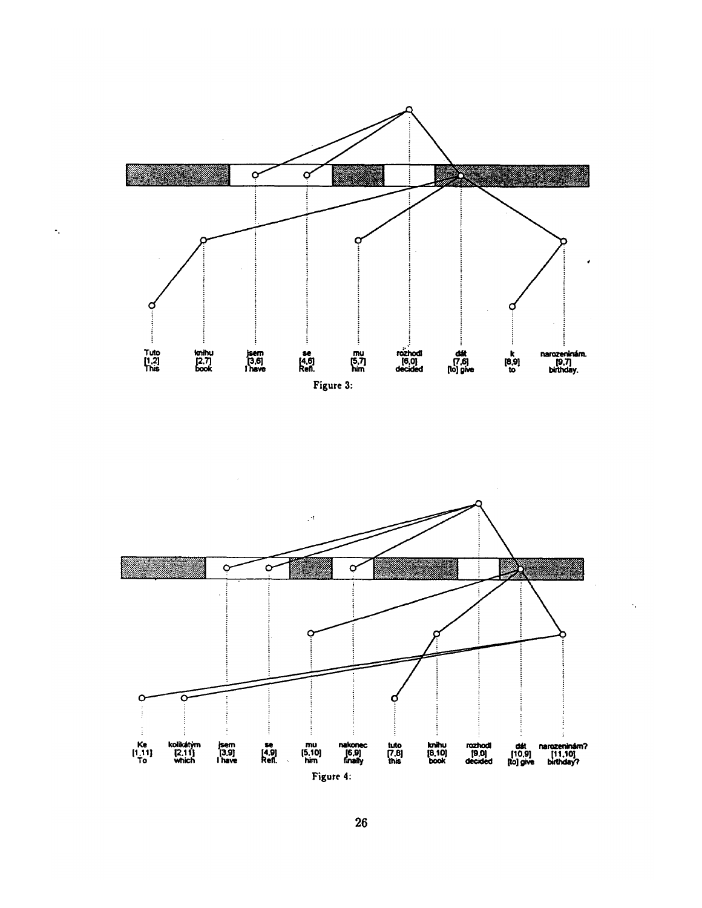

 $\ddot{\cdot}$ 



Ŷ,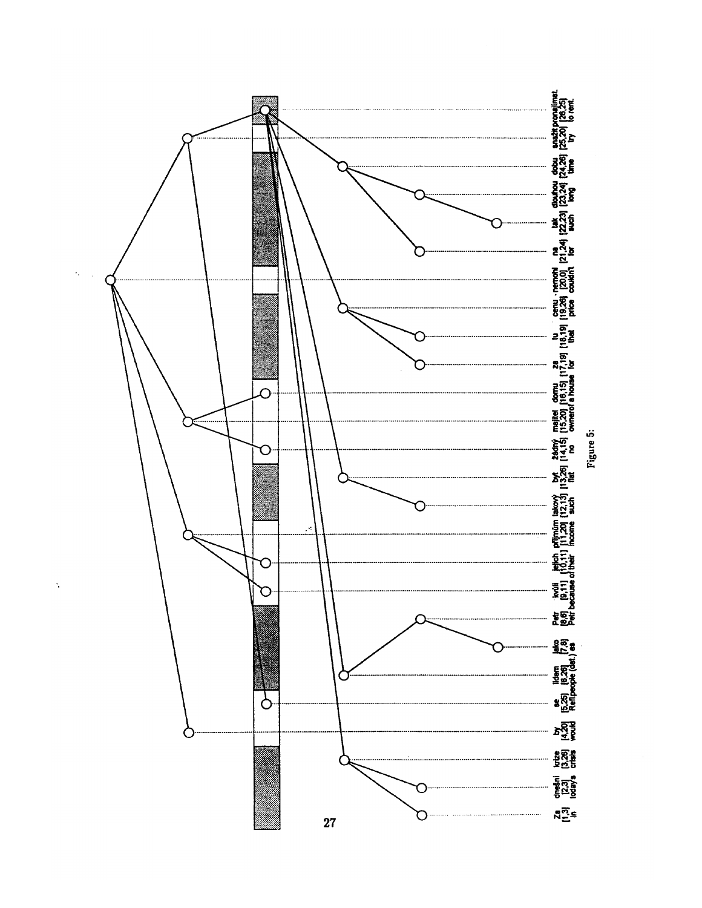